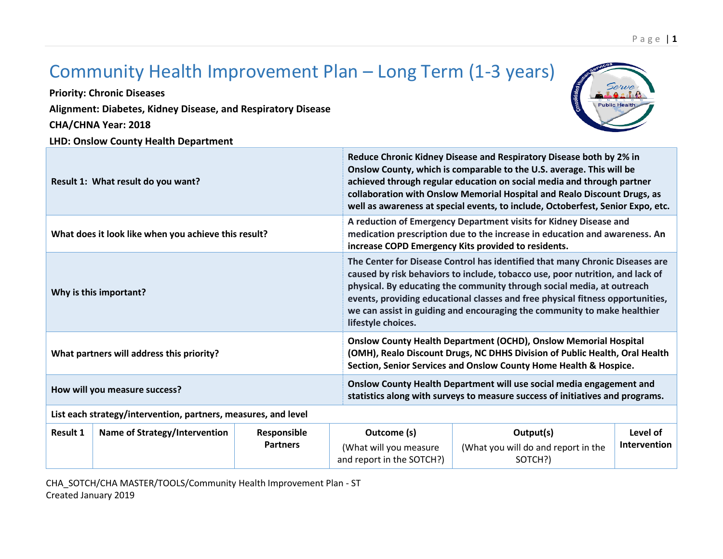## **LHD: Onslow County Health Department Result 1: What result do you want? Reduce Chronic Kidney Disease and Respiratory Disease both by 2% in Onslow County, which is comparable to the U.S. average. This will be achieved through regular education on social media and through partner collaboration with Onslow Memorial Hospital and Realo Discount Drugs, as well as awareness at special events, to include, Octoberfest, Senior Expo, etc. What does it look like when you achieve this result? A reduction of Emergency Department visits for Kidney Disease and medication prescription due to the increase in education and awareness. An increase COPD Emergency Kits provided to residents. Why is this important? The Center for Disease Control has identified that many Chronic Diseases are caused by risk behaviors to include, tobacco use, poor nutrition, and lack of physical. By educating the community through social media, at outreach events, providing educational classes and free physical fitness opportunities, we can assist in guiding and encouraging the community to make healthier lifestyle choices. What partners will address this priority? Onslow County Health Department (OCHD), Onslow Memorial Hospital (OMH), Realo Discount Drugs, NC DHHS Division of Public Health, Oral Health Section, Senior Services and Onslow County Home Health & Hospice. How will you measure success? Onslow County Health Department will use social media engagement and statistics along with surveys to measure success of initiatives and programs. List each strategy/intervention, partners, measures, and level Result 1 Name of Strategy/Intervention Responsible Partners Outcome (s)** (What will you measure and report in the SOTCH?) **Output(s)** (What you will do and report in the SOTCH?) **Level of Intervention**

CHA\_SOTCH/CHA MASTER/TOOLS/Community Health Improvement Plan - ST Created January 2019

## Community Health Improvement Plan – Long Term (1-3 years)

**Priority: Chronic Diseases Alignment: Diabetes, Kidney Disease, and Respiratory Disease CHA/CHNA Year: 2018**



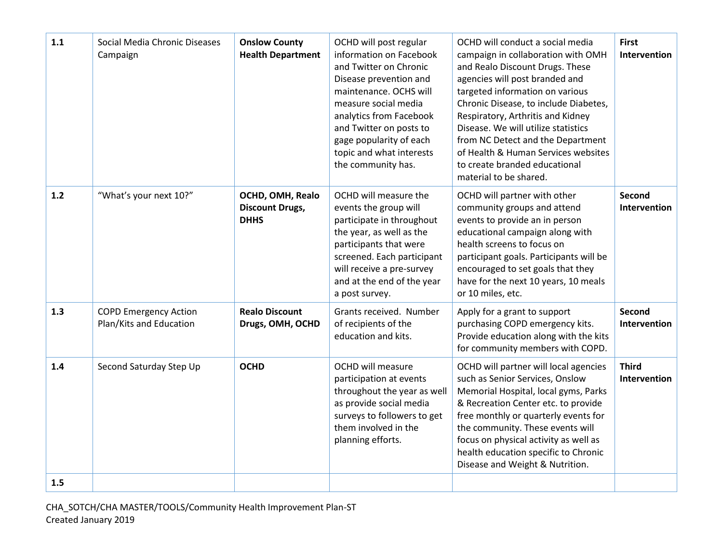| 1.1 | Social Media Chronic Diseases<br>Campaign               | <b>Onslow County</b><br><b>Health Department</b>          | OCHD will post regular<br>information on Facebook<br>and Twitter on Chronic<br>Disease prevention and<br>maintenance. OCHS will<br>measure social media<br>analytics from Facebook<br>and Twitter on posts to<br>gage popularity of each<br>topic and what interests<br>the community has. | OCHD will conduct a social media<br>campaign in collaboration with OMH<br>and Realo Discount Drugs. These<br>agencies will post branded and<br>targeted information on various<br>Chronic Disease, to include Diabetes,<br>Respiratory, Arthritis and Kidney<br>Disease. We will utilize statistics<br>from NC Detect and the Department<br>of Health & Human Services websites<br>to create branded educational<br>material to be shared. | <b>First</b><br>Intervention  |
|-----|---------------------------------------------------------|-----------------------------------------------------------|--------------------------------------------------------------------------------------------------------------------------------------------------------------------------------------------------------------------------------------------------------------------------------------------|--------------------------------------------------------------------------------------------------------------------------------------------------------------------------------------------------------------------------------------------------------------------------------------------------------------------------------------------------------------------------------------------------------------------------------------------|-------------------------------|
| 1.2 | "What's your next 10?"                                  | OCHD, OMH, Realo<br><b>Discount Drugs,</b><br><b>DHHS</b> | OCHD will measure the<br>events the group will<br>participate in throughout<br>the year, as well as the<br>participants that were<br>screened. Each participant<br>will receive a pre-survey<br>and at the end of the year<br>a post survey.                                               | OCHD will partner with other<br>community groups and attend<br>events to provide an in person<br>educational campaign along with<br>health screens to focus on<br>participant goals. Participants will be<br>encouraged to set goals that they<br>have for the next 10 years, 10 meals<br>or 10 miles, etc.                                                                                                                                | <b>Second</b><br>Intervention |
| 1.3 | <b>COPD Emergency Action</b><br>Plan/Kits and Education | <b>Realo Discount</b><br>Drugs, OMH, OCHD                 | Grants received. Number<br>of recipients of the<br>education and kits.                                                                                                                                                                                                                     | Apply for a grant to support<br>purchasing COPD emergency kits.<br>Provide education along with the kits<br>for community members with COPD.                                                                                                                                                                                                                                                                                               | <b>Second</b><br>Intervention |
| 1.4 | Second Saturday Step Up                                 | <b>OCHD</b>                                               | OCHD will measure<br>participation at events<br>throughout the year as well<br>as provide social media<br>surveys to followers to get<br>them involved in the<br>planning efforts.                                                                                                         | OCHD will partner will local agencies<br>such as Senior Services, Onslow<br>Memorial Hospital, local gyms, Parks<br>& Recreation Center etc. to provide<br>free monthly or quarterly events for<br>the community. These events will<br>focus on physical activity as well as<br>health education specific to Chronic<br>Disease and Weight & Nutrition.                                                                                    | <b>Third</b><br>Intervention  |
| 1.5 |                                                         |                                                           |                                                                                                                                                                                                                                                                                            |                                                                                                                                                                                                                                                                                                                                                                                                                                            |                               |

CHA\_SOTCH/CHA MASTER/TOOLS/Community Health Improvement Plan-ST Created January 2019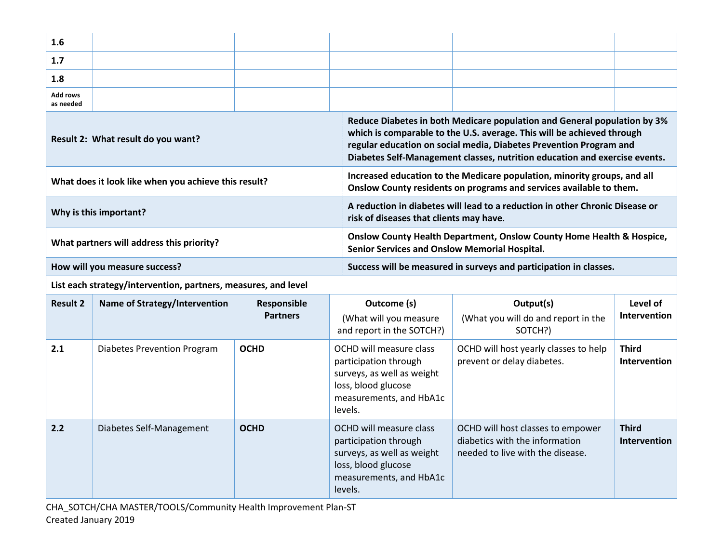| 1.6                                                  |  |                                                                   |                                                                                                                                                                                                                                                                                                        |  |  |
|------------------------------------------------------|--|-------------------------------------------------------------------|--------------------------------------------------------------------------------------------------------------------------------------------------------------------------------------------------------------------------------------------------------------------------------------------------------|--|--|
| 1.7                                                  |  |                                                                   |                                                                                                                                                                                                                                                                                                        |  |  |
| 1.8                                                  |  |                                                                   |                                                                                                                                                                                                                                                                                                        |  |  |
| Add rows<br>as needed                                |  |                                                                   |                                                                                                                                                                                                                                                                                                        |  |  |
| Result 2: What result do you want?                   |  |                                                                   | Reduce Diabetes in both Medicare population and General population by 3%<br>which is comparable to the U.S. average. This will be achieved through<br>regular education on social media, Diabetes Prevention Program and<br>Diabetes Self-Management classes, nutrition education and exercise events. |  |  |
| What does it look like when you achieve this result? |  |                                                                   | Increased education to the Medicare population, minority groups, and all<br>Onslow County residents on programs and services available to them.                                                                                                                                                        |  |  |
| Why is this important?                               |  |                                                                   | A reduction in diabetes will lead to a reduction in other Chronic Disease or<br>risk of diseases that clients may have.                                                                                                                                                                                |  |  |
| What partners will address this priority?            |  |                                                                   | <b>Onslow County Health Department, Onslow County Home Health &amp; Hospice,</b><br><b>Senior Services and Onslow Memorial Hospital.</b>                                                                                                                                                               |  |  |
| How will you measure success?                        |  | Success will be measured in surveys and participation in classes. |                                                                                                                                                                                                                                                                                                        |  |  |

**List each strategy/intervention, partners, measures, and level**

| <b>Result 2</b> | Name of Strategy/Intervention      | Responsible<br><b>Partners</b> | Outcome (s)<br>(What will you measure<br>and report in the SOTCH?)                                                                          | Output(s)<br>(What you will do and report in the<br>SOTCH?)                                             | Level of<br><b>Intervention</b>     |
|-----------------|------------------------------------|--------------------------------|---------------------------------------------------------------------------------------------------------------------------------------------|---------------------------------------------------------------------------------------------------------|-------------------------------------|
| 2.1             | <b>Diabetes Prevention Program</b> | <b>OCHD</b>                    | OCHD will measure class<br>participation through<br>surveys, as well as weight<br>loss, blood glucose<br>measurements, and HbA1c<br>levels. | OCHD will host yearly classes to help<br>prevent or delay diabetes.                                     | <b>Third</b><br><b>Intervention</b> |
| 2.2             | Diabetes Self-Management           | <b>OCHD</b>                    | OCHD will measure class<br>participation through<br>surveys, as well as weight<br>loss, blood glucose<br>measurements, and HbA1c<br>levels. | OCHD will host classes to empower<br>diabetics with the information<br>needed to live with the disease. | <b>Third</b><br><b>Intervention</b> |

CHA\_SOTCH/CHA MASTER/TOOLS/Community Health Improvement Plan-ST Created January 2019